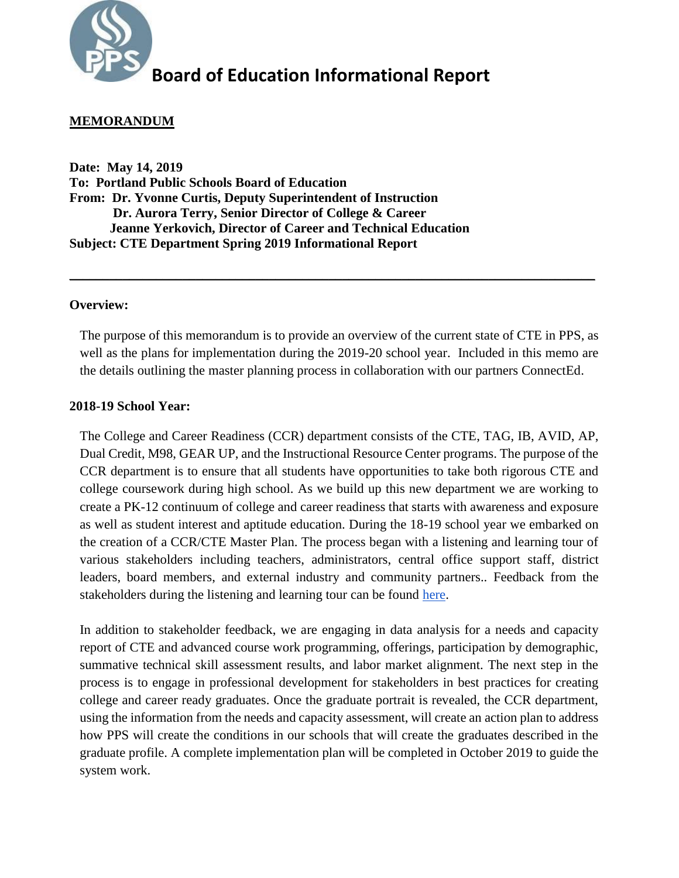

### **MEMORANDUM**

**Date: May 14, 2019 To: Portland Public Schools Board of Education From: Dr. Yvonne Curtis, Deputy Superintendent of Instruction Dr. Aurora Terry, Senior Director of College & Career Jeanne Yerkovich, Director of Career and Technical Education Subject: CTE Department Spring 2019 Informational Report**

#### **Overview:**

The purpose of this memorandum is to provide an overview of the current state of CTE in PPS, as well as the plans for implementation during the 2019-20 school year. Included in this memo are the details outlining the master planning process in collaboration with our partners ConnectEd.

\_\_\_\_\_\_\_\_\_\_\_\_\_\_\_\_\_\_\_\_\_\_\_\_\_\_\_\_\_\_\_\_\_\_\_\_\_\_\_\_\_\_\_\_\_\_\_\_\_\_\_\_\_\_\_\_\_\_\_\_\_\_\_\_\_\_\_\_\_\_\_\_\_\_\_\_\_\_\_

#### **2018-19 School Year:**

The College and Career Readiness (CCR) department consists of the CTE, TAG, IB, AVID, AP, Dual Credit, M98, GEAR UP, and the Instructional Resource Center programs. The purpose of the CCR department is to ensure that all students have opportunities to take both rigorous CTE and college coursework during high school. As we build up this new department we are working to create a PK-12 continuum of college and career readiness that starts with awareness and exposure as well as student interest and aptitude education. During the 18-19 school year we embarked on the creation of a CCR/CTE Master Plan. The process began with a listening and learning tour of various stakeholders including teachers, administrators, central office support staff, district leaders, board members, and external industry and community partners.. Feedback from the stakeholders during the listening and learning tour can be found [here.](https://docs.google.com/document/d/1Vf101_Kvf3ul-gFSYmQYD8QRRL8GJ_5R58hbpOEIpsQ/edit?usp=sharing)

In addition to stakeholder feedback, we are engaging in data analysis for a needs and capacity report of CTE and advanced course work programming, offerings, participation by demographic, summative technical skill assessment results, and labor market alignment. The next step in the process is to engage in professional development for stakeholders in best practices for creating college and career ready graduates. Once the graduate portrait is revealed, the CCR department, using the information from the needs and capacity assessment, will create an action plan to address how PPS will create the conditions in our schools that will create the graduates described in the graduate profile. A complete implementation plan will be completed in October 2019 to guide the system work.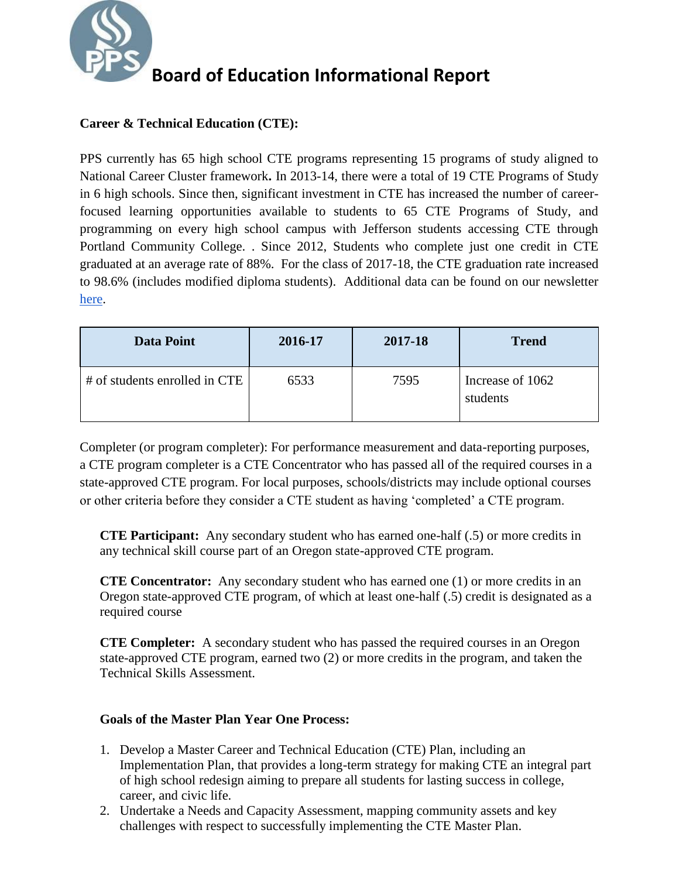

### **Career & Technical Education (CTE):**

PPS currently has 65 high school CTE programs representing 15 programs of study aligned to National Career Cluster framework**.** In 2013-14, there were a total of 19 CTE Programs of Study in 6 high schools. Since then, significant investment in CTE has increased the number of careerfocused learning opportunities available to students to 65 CTE Programs of Study, and programming on every high school campus with Jefferson students accessing CTE through Portland Community College. . Since 2012, Students who complete just one credit in CTE graduated at an average rate of 88%. For the class of 2017-18, the CTE graduation rate increased to 98.6% (includes modified diploma students). Additional data can be found on our newsletter [here.](https://sites.google.com/apps4pps.net/otl-newsletter/newsletter-archives/february-2019/CTE)

| <b>Data Point</b>             | 2016-17 | 2017-18 | <b>Trend</b>                 |
|-------------------------------|---------|---------|------------------------------|
| # of students enrolled in CTE | 6533    | 7595    | Increase of 1062<br>students |

Completer (or program completer): For performance measurement and data-reporting purposes, a CTE program completer is a CTE Concentrator who has passed all of the required courses in a state-approved CTE program. For local purposes, schools/districts may include optional courses or other criteria before they consider a CTE student as having 'completed' a CTE program.

**CTE Participant:** Any secondary student who has earned one-half (.5) or more credits in any technical skill course part of an Oregon state-approved CTE program.

**CTE Concentrator:** Any secondary student who has earned one (1) or more credits in an Oregon state-approved CTE program, of which at least one-half (.5) credit is designated as a required course

**CTE Completer:** A secondary student who has passed the required courses in an Oregon state-approved CTE program, earned two (2) or more credits in the program, and taken the Technical Skills Assessment.

### **Goals of the Master Plan Year One Process:**

- 1. Develop a Master Career and Technical Education (CTE) Plan, including an Implementation Plan, that provides a long-term strategy for making CTE an integral part of high school redesign aiming to prepare all students for lasting success in college, career, and civic life.
- 2. Undertake a Needs and Capacity Assessment, mapping community assets and key challenges with respect to successfully implementing the CTE Master Plan.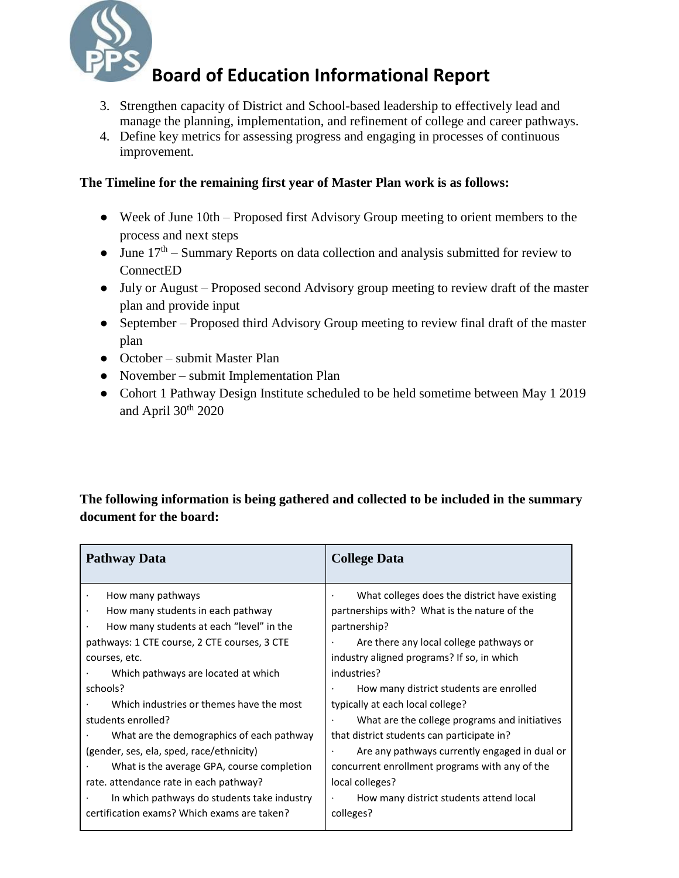

- 3. Strengthen capacity of District and School-based leadership to effectively lead and manage the planning, implementation, and refinement of college and career pathways.
- 4. Define key metrics for assessing progress and engaging in processes of continuous improvement.

### **The Timeline for the remaining first year of Master Plan work is as follows:**

- Week of June 10th Proposed first Advisory Group meeting to orient members to the process and next steps
- June  $17<sup>th</sup>$  Summary Reports on data collection and analysis submitted for review to ConnectED
- July or August Proposed second Advisory group meeting to review draft of the master plan and provide input
- September Proposed third Advisory Group meeting to review final draft of the master plan
- October submit Master Plan
- November submit Implementation Plan
- Cohort 1 Pathway Design Institute scheduled to be held sometime between May 1 2019 and April  $30<sup>th</sup> 2020$

### **The following information is being gathered and collected to be included in the summary document for the board:**

| <b>Pathway Data</b>                          | <b>College Data</b>                            |
|----------------------------------------------|------------------------------------------------|
| How many pathways                            | What colleges does the district have existing  |
| How many students in each pathway            | partnerships with? What is the nature of the   |
| How many students at each "level" in the     | partnership?                                   |
| pathways: 1 CTE course, 2 CTE courses, 3 CTE | Are there any local college pathways or        |
| courses, etc.                                | industry aligned programs? If so, in which     |
| Which pathways are located at which          | industries?                                    |
| schools?                                     | How many district students are enrolled        |
| Which industries or themes have the most     | typically at each local college?               |
| students enrolled?                           | What are the college programs and initiatives  |
| What are the demographics of each pathway    | that district students can participate in?     |
| (gender, ses, ela, sped, race/ethnicity)     | Are any pathways currently engaged in dual or  |
| What is the average GPA, course completion   | concurrent enrollment programs with any of the |
| rate. attendance rate in each pathway?       | local colleges?                                |
| In which pathways do students take industry  | How many district students attend local        |
| certification exams? Which exams are taken?  | colleges?                                      |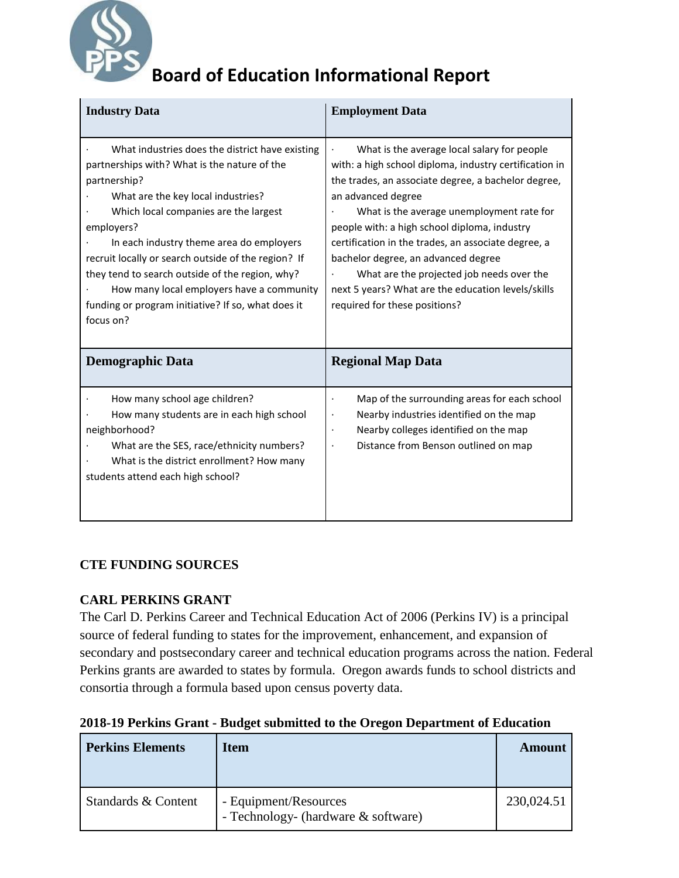

| <b>Industry Data</b>                                                                                                                                                                                                                                                                                                                                                                                                                                                               | <b>Employment Data</b>                                                                                                                                                                                                                                                                                                                                                                                                                                                                                            |  |
|------------------------------------------------------------------------------------------------------------------------------------------------------------------------------------------------------------------------------------------------------------------------------------------------------------------------------------------------------------------------------------------------------------------------------------------------------------------------------------|-------------------------------------------------------------------------------------------------------------------------------------------------------------------------------------------------------------------------------------------------------------------------------------------------------------------------------------------------------------------------------------------------------------------------------------------------------------------------------------------------------------------|--|
| What industries does the district have existing<br>partnerships with? What is the nature of the<br>partnership?<br>What are the key local industries?<br>Which local companies are the largest<br>employers?<br>In each industry theme area do employers<br>recruit locally or search outside of the region? If<br>they tend to search outside of the region, why?<br>How many local employers have a community<br>funding or program initiative? If so, what does it<br>focus on? | What is the average local salary for people<br>with: a high school diploma, industry certification in<br>the trades, an associate degree, a bachelor degree,<br>an advanced degree<br>What is the average unemployment rate for<br>people with: a high school diploma, industry<br>certification in the trades, an associate degree, a<br>bachelor degree, an advanced degree<br>What are the projected job needs over the<br>next 5 years? What are the education levels/skills<br>required for these positions? |  |
| <b>Demographic Data</b>                                                                                                                                                                                                                                                                                                                                                                                                                                                            | <b>Regional Map Data</b>                                                                                                                                                                                                                                                                                                                                                                                                                                                                                          |  |
| How many school age children?<br>How many students are in each high school<br>neighborhood?<br>What are the SES, race/ethnicity numbers?<br>What is the district enrollment? How many<br>students attend each high school?                                                                                                                                                                                                                                                         | Map of the surrounding areas for each school<br>$\bullet$<br>Nearby industries identified on the map<br>$\bullet$<br>Nearby colleges identified on the map<br>$\bullet$<br>Distance from Benson outlined on map                                                                                                                                                                                                                                                                                                   |  |

### **CTE FUNDING SOURCES**

### **CARL PERKINS GRANT**

The Carl D. Perkins Career and Technical Education Act of 2006 (Perkins IV) is a principal source of federal funding to states for the improvement, enhancement, and expansion of secondary and postsecondary career and technical education programs across the nation. Federal Perkins grants are awarded to states by formula. Oregon awards funds to school districts and consortia through a formula based upon census poverty data.

|  |  |  |  | 2018-19 Perkins Grant - Budget submitted to the Oregon Department of Education |
|--|--|--|--|--------------------------------------------------------------------------------|

| <b>Perkins Elements</b> | <b>Item</b>                                                  | Amount     |
|-------------------------|--------------------------------------------------------------|------------|
| Standards & Content     | - Equipment/Resources<br>- Technology- (hardware & software) | 230,024.51 |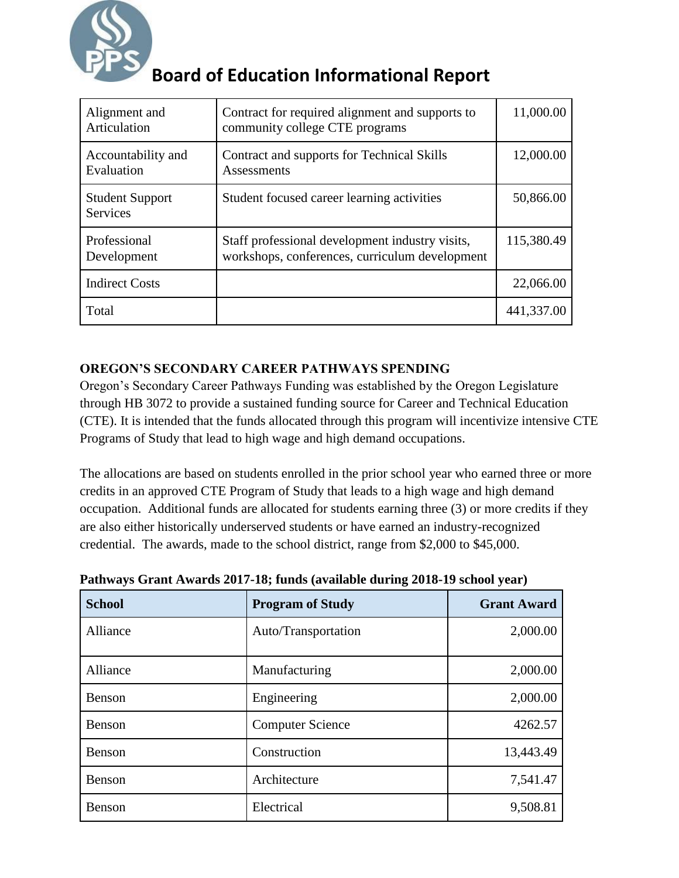

| Alignment and<br>Articulation             | Contract for required alignment and supports to<br>community college CTE programs                 | 11,000.00  |
|-------------------------------------------|---------------------------------------------------------------------------------------------------|------------|
| Accountability and<br>Evaluation          | Contract and supports for Technical Skills<br>Assessments                                         | 12,000.00  |
| <b>Student Support</b><br><b>Services</b> | Student focused career learning activities                                                        | 50,866.00  |
| Professional<br>Development               | Staff professional development industry visits,<br>workshops, conferences, curriculum development | 115,380.49 |
| <b>Indirect Costs</b>                     |                                                                                                   | 22,066.00  |
| Total                                     |                                                                                                   | 441,337.00 |

### **OREGON'S SECONDARY CAREER PATHWAYS SPENDING**

Oregon's Secondary Career Pathways Funding was established by the Oregon Legislature through HB 3072 to provide a sustained funding source for Career and Technical Education (CTE). It is intended that the funds allocated through this program will incentivize intensive CTE Programs of Study that lead to high wage and high demand occupations.

The allocations are based on students enrolled in the prior school year who earned three or more credits in an approved CTE Program of Study that leads to a high wage and high demand occupation. Additional funds are allocated for students earning three (3) or more credits if they are also either historically underserved students or have earned an industry-recognized credential. The awards, made to the school district, range from \$2,000 to \$45,000.

| <b>School</b> | <b>Program of Study</b> | <b>Grant Award</b> |
|---------------|-------------------------|--------------------|
| Alliance      | Auto/Transportation     | 2,000.00           |
| Alliance      | Manufacturing           | 2,000.00           |
| Benson        | Engineering             | 2,000.00           |
| Benson        | <b>Computer Science</b> | 4262.57            |
| <b>Benson</b> | Construction            | 13,443.49          |
| Benson        | Architecture            | 7,541.47           |
| <b>Benson</b> | Electrical              | 9,508.81           |

**Pathways Grant Awards 2017-18; funds (available during 2018-19 school year)**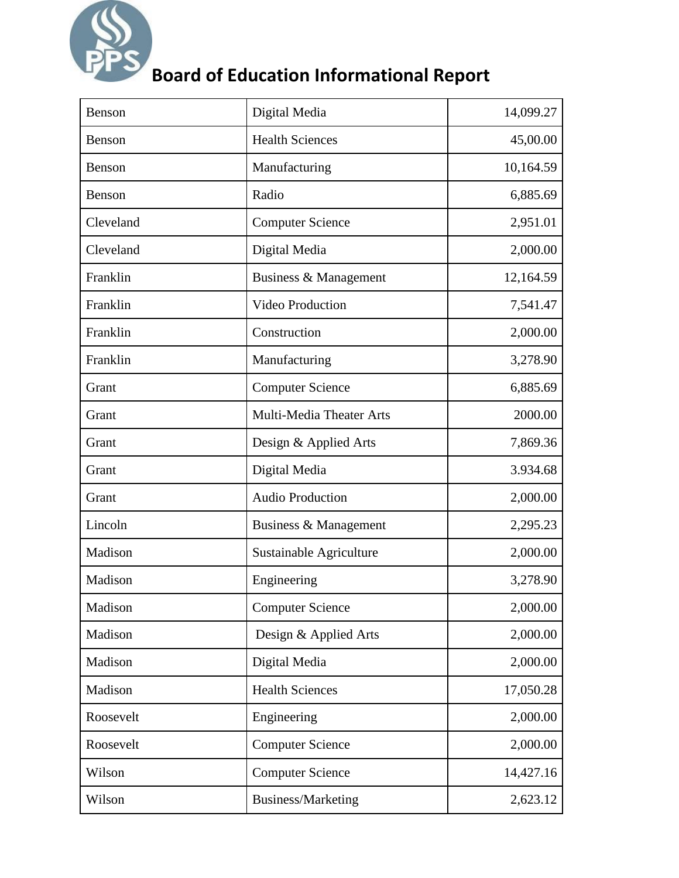

| <b>Benson</b> | Digital Media            | 14,099.27 |
|---------------|--------------------------|-----------|
| <b>Benson</b> | <b>Health Sciences</b>   | 45,00.00  |
| <b>Benson</b> | Manufacturing            | 10,164.59 |
| <b>Benson</b> | Radio                    | 6,885.69  |
| Cleveland     | <b>Computer Science</b>  | 2,951.01  |
| Cleveland     | Digital Media            | 2,000.00  |
| Franklin      | Business & Management    | 12,164.59 |
| Franklin      | <b>Video Production</b>  | 7,541.47  |
| Franklin      | Construction             | 2,000.00  |
| Franklin      | Manufacturing            | 3,278.90  |
| Grant         | <b>Computer Science</b>  | 6,885.69  |
| Grant         | Multi-Media Theater Arts | 2000.00   |
| Grant         | Design & Applied Arts    | 7,869.36  |
| Grant         | Digital Media            | 3.934.68  |
| Grant         | <b>Audio Production</b>  | 2,000.00  |
| Lincoln       | Business & Management    | 2,295.23  |
| Madison       | Sustainable Agriculture  | 2,000.00  |
| Madison       | Engineering              | 3,278.90  |
| Madison       | <b>Computer Science</b>  | 2,000.00  |
| Madison       | Design & Applied Arts    | 2,000.00  |
| Madison       | Digital Media            | 2,000.00  |
| Madison       | <b>Health Sciences</b>   | 17,050.28 |
| Roosevelt     | Engineering              | 2,000.00  |
| Roosevelt     | <b>Computer Science</b>  | 2,000.00  |
| Wilson        | <b>Computer Science</b>  | 14,427.16 |
| Wilson        | Business/Marketing       | 2,623.12  |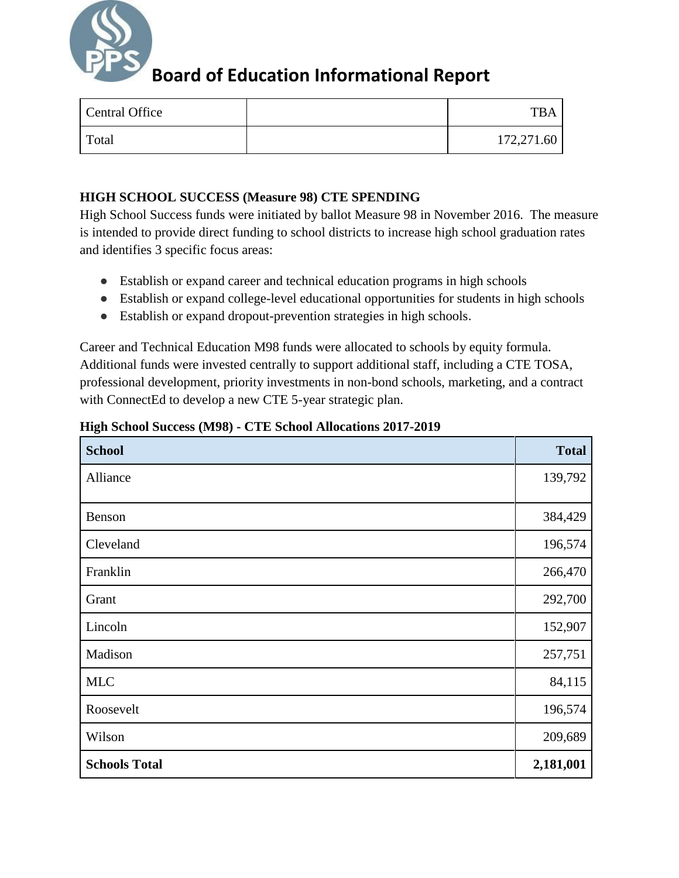

| Central Office | TR.        |
|----------------|------------|
| Total          | 172,271.60 |

### **HIGH SCHOOL SUCCESS (Measure 98) CTE SPENDING**

High School Success funds were initiated by ballot Measure 98 in November 2016. The measure is intended to provide direct funding to school districts to increase high school graduation rates and identifies 3 specific focus areas:

- Establish or expand career and technical education programs in high schools
- Establish or expand college-level educational opportunities for students in high schools
- Establish or expand dropout-prevention strategies in high schools.

Career and Technical Education M98 funds were allocated to schools by equity formula. Additional funds were invested centrally to support additional staff, including a CTE TOSA, professional development, priority investments in non-bond schools, marketing, and a contract with ConnectEd to develop a new CTE 5-year strategic plan.

| <b>School</b>        | <b>Total</b> |
|----------------------|--------------|
| Alliance             | 139,792      |
| Benson               | 384,429      |
| Cleveland            | 196,574      |
| Franklin             | 266,470      |
| Grant                | 292,700      |
| Lincoln              | 152,907      |
| Madison              | 257,751      |
| <b>MLC</b>           | 84,115       |
| Roosevelt            | 196,574      |
| Wilson               | 209,689      |
| <b>Schools Total</b> | 2,181,001    |

### **High School Success (M98) - CTE School Allocations 2017-2019**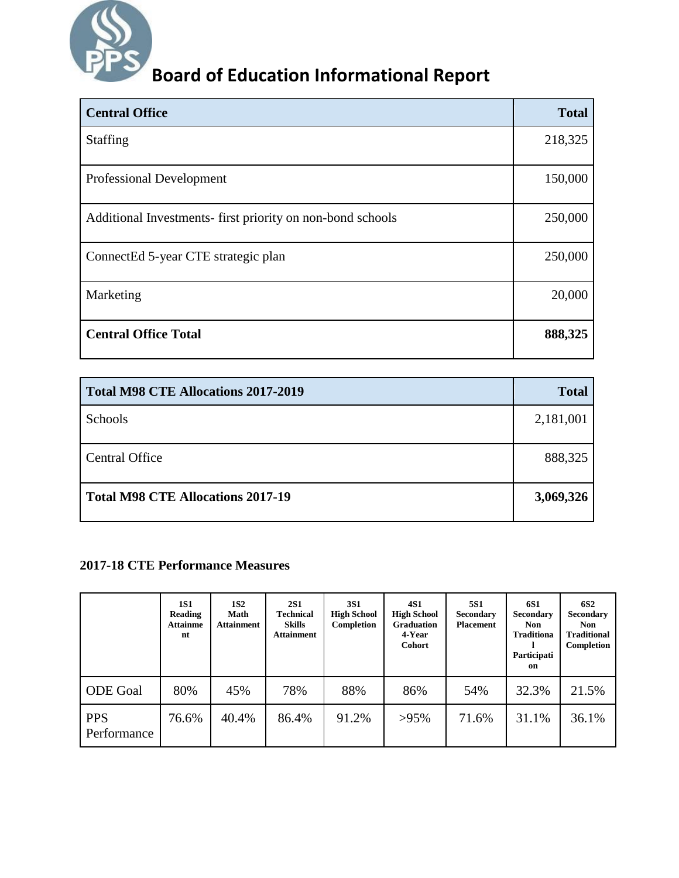

| <b>Central Office</b>                                     | <b>Total</b> |
|-----------------------------------------------------------|--------------|
| <b>Staffing</b>                                           | 218,325      |
| <b>Professional Development</b>                           | 150,000      |
| Additional Investments-first priority on non-bond schools | 250,000      |
| ConnectEd 5-year CTE strategic plan                       | 250,000      |
| Marketing                                                 | 20,000       |
| <b>Central Office Total</b>                               | 888,325      |

| <b>Total M98 CTE Allocations 2017-2019</b> | <b>Total</b> |
|--------------------------------------------|--------------|
| Schools                                    | 2,181,001    |
| <b>Central Office</b>                      | 888,325      |
| <b>Total M98 CTE Allocations 2017-19</b>   | 3,069,326    |

### **2017-18 CTE Performance Measures**

|                           | 1S1<br>Reading<br><b>Attainme</b><br>nt | <b>1S2</b><br>Math<br><b>Attainment</b> | <b>2S1</b><br><b>Technical</b><br><b>Skills</b><br><b>Attainment</b> | <b>3S1</b><br><b>High School</b><br>Completion | 4S1<br><b>High School</b><br><b>Graduation</b><br>4-Year<br><b>Cohort</b> | <b>5S1</b><br><b>Secondary</b><br><b>Placement</b> | <b>6S1</b><br><b>Secondary</b><br><b>Non</b><br><b>Traditiona</b><br>Participati<br>on | <b>6S2</b><br>Secondary<br><b>Non</b><br><b>Traditional</b><br>Completion |
|---------------------------|-----------------------------------------|-----------------------------------------|----------------------------------------------------------------------|------------------------------------------------|---------------------------------------------------------------------------|----------------------------------------------------|----------------------------------------------------------------------------------------|---------------------------------------------------------------------------|
| <b>ODE</b> Goal           | 80%                                     | 45%                                     | 78%                                                                  | 88%                                            | 86%                                                                       | 54%                                                | 32.3%                                                                                  | 21.5%                                                                     |
| <b>PPS</b><br>Performance | 76.6%                                   | 40.4%                                   | 86.4%                                                                | 91.2%                                          | $>95\%$                                                                   | 71.6%                                              | 31.1%                                                                                  | 36.1%                                                                     |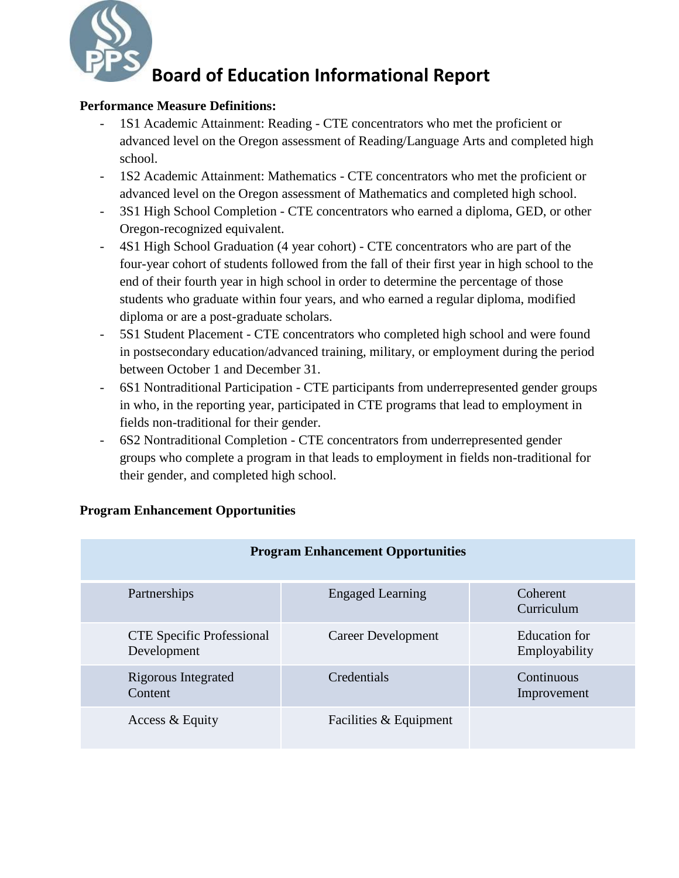

### **Performance Measure Definitions:**

- 1S1 Academic Attainment: Reading CTE concentrators who met the proficient or advanced level on the Oregon assessment of Reading/Language Arts and completed high school.
- 1S2 Academic Attainment: Mathematics CTE concentrators who met the proficient or advanced level on the Oregon assessment of Mathematics and completed high school.
- 3S1 High School Completion CTE concentrators who earned a diploma, GED, or other Oregon-recognized equivalent.
- 4S1 High School Graduation (4 year cohort) CTE concentrators who are part of the four-year cohort of students followed from the fall of their first year in high school to the end of their fourth year in high school in order to determine the percentage of those students who graduate within four years, and who earned a regular diploma, modified diploma or are a post-graduate scholars.
- 5S1 Student Placement CTE concentrators who completed high school and were found in postsecondary education/advanced training, military, or employment during the period between October 1 and December 31.
- 6S1 Nontraditional Participation CTE participants from underrepresented gender groups in who, in the reporting year, participated in CTE programs that lead to employment in fields non-traditional for their gender.
- 6S2 Nontraditional Completion CTE concentrators from underrepresented gender groups who complete a program in that leads to employment in fields non-traditional for their gender, and completed high school.

| <b>Program Enhancement Opportunities</b>        |                         |                                |  |  |  |
|-------------------------------------------------|-------------------------|--------------------------------|--|--|--|
| Partnerships                                    | <b>Engaged Learning</b> | Coherent<br>Curriculum         |  |  |  |
| <b>CTE</b> Specific Professional<br>Development | Career Development      | Education for<br>Employability |  |  |  |
| Rigorous Integrated<br>Content                  | Credentials             | Continuous<br>Improvement      |  |  |  |
| Access & Equity                                 | Facilities & Equipment  |                                |  |  |  |

### **Program Enhancement Opportunities**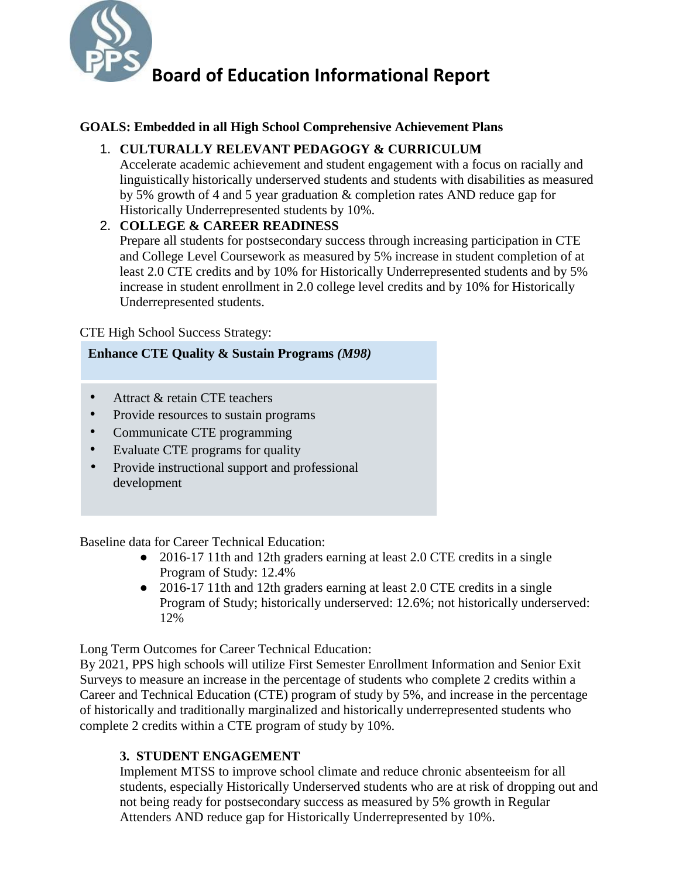

### **GOALS: Embedded in all High School Comprehensive Achievement Plans**

### 1. **CULTURALLY RELEVANT PEDAGOGY & CURRICULUM**

Accelerate academic achievement and student engagement with a focus on racially and linguistically historically underserved students and students with disabilities as measured by 5% growth of 4 and 5 year graduation & completion rates AND reduce gap for Historically Underrepresented students by 10%.

### 2. **COLLEGE & CAREER READINESS**

Prepare all students for postsecondary success through increasing participation in CTE and College Level Coursework as measured by 5% increase in student completion of at least 2.0 CTE credits and by 10% for Historically Underrepresented students and by 5% increase in student enrollment in 2.0 college level credits and by 10% for Historically Underrepresented students.

### CTE High School Success Strategy:

### **Enhance CTE Quality & Sustain Programs** *(M98)*

- Attract & retain CTE teachers
- Provide resources to sustain programs
- Communicate CTE programming
- Evaluate CTE programs for quality
- Provide instructional support and professional development

Baseline data for Career Technical Education:

- 2016-17 11th and 12th graders earning at least 2.0 CTE credits in a single Program of Study: 12.4%
- 2016-17 11th and 12th graders earning at least 2.0 CTE credits in a single Program of Study; historically underserved: 12.6%; not historically underserved: 12%

Long Term Outcomes for Career Technical Education:

By 2021, PPS high schools will utilize First Semester Enrollment Information and Senior Exit Surveys to measure an increase in the percentage of students who complete 2 credits within a Career and Technical Education (CTE) program of study by 5%, and increase in the percentage of historically and traditionally marginalized and historically underrepresented students who complete 2 credits within a CTE program of study by 10%.

### **3. STUDENT ENGAGEMENT**

Implement MTSS to improve school climate and reduce chronic absenteeism for all students, especially Historically Underserved students who are at risk of dropping out and not being ready for postsecondary success as measured by 5% growth in Regular Attenders AND reduce gap for Historically Underrepresented by 10%.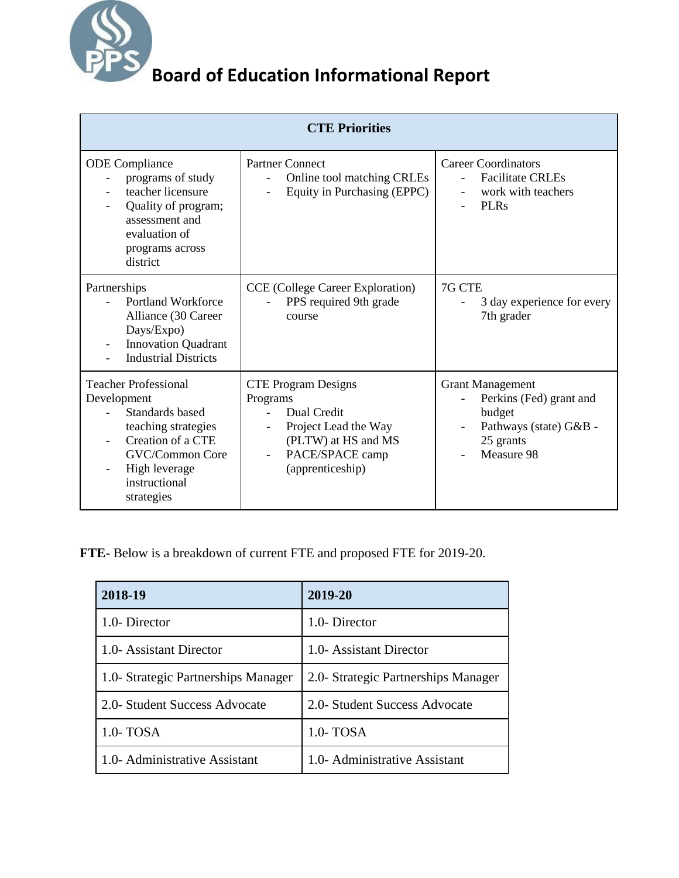

| <b>CTE Priorities</b>                                                                                                                                                        |                                                                                                                                             |                                                                                                                        |  |  |  |
|------------------------------------------------------------------------------------------------------------------------------------------------------------------------------|---------------------------------------------------------------------------------------------------------------------------------------------|------------------------------------------------------------------------------------------------------------------------|--|--|--|
| <b>ODE</b> Compliance<br>programs of study<br>teacher licensure<br>Quality of program;<br>assessment and<br>evaluation of<br>programs across<br>district                     | <b>Partner Connect</b><br>Online tool matching CRLEs<br>Equity in Purchasing (EPPC)                                                         | <b>Career Coordinators</b><br><b>Facilitate CRLEs</b><br>work with teachers<br>$\overline{\phantom{0}}$<br><b>PLRs</b> |  |  |  |
| Partnerships<br><b>Portland Workforce</b><br>Alliance (30 Career<br>Days/Expo)<br><b>Innovation Quadrant</b><br><b>Industrial Districts</b>                                  | CCE (College Career Exploration)<br>PPS required 9th grade<br>course                                                                        | 7G CTE<br>3 day experience for every<br>7th grader                                                                     |  |  |  |
| <b>Teacher Professional</b><br>Development<br>Standards based<br>teaching strategies<br>Creation of a CTE<br>GVC/Common Core<br>High leverage<br>instructional<br>strategies | <b>CTE Program Designs</b><br>Programs<br>Dual Credit<br>Project Lead the Way<br>(PLTW) at HS and MS<br>PACE/SPACE camp<br>(apprenticeship) | <b>Grant Management</b><br>Perkins (Fed) grant and<br>budget<br>Pathways (state) G&B -<br>25 grants<br>Measure 98      |  |  |  |

**FTE-** Below is a breakdown of current FTE and proposed FTE for 2019-20.

| 2018-19                             | 2019-20                             |  |  |
|-------------------------------------|-------------------------------------|--|--|
| 1.0-Director                        | 1.0-Director                        |  |  |
| 1.0- Assistant Director             | 1.0- Assistant Director             |  |  |
| 1.0- Strategic Partnerships Manager | 2.0- Strategic Partnerships Manager |  |  |
| 2.0- Student Success Advocate       | 2.0- Student Success Advocate       |  |  |
| $1.0 - TOSA$                        | $1.0 - TOSA$                        |  |  |
| 1.0- Administrative Assistant       | 1.0- Administrative Assistant       |  |  |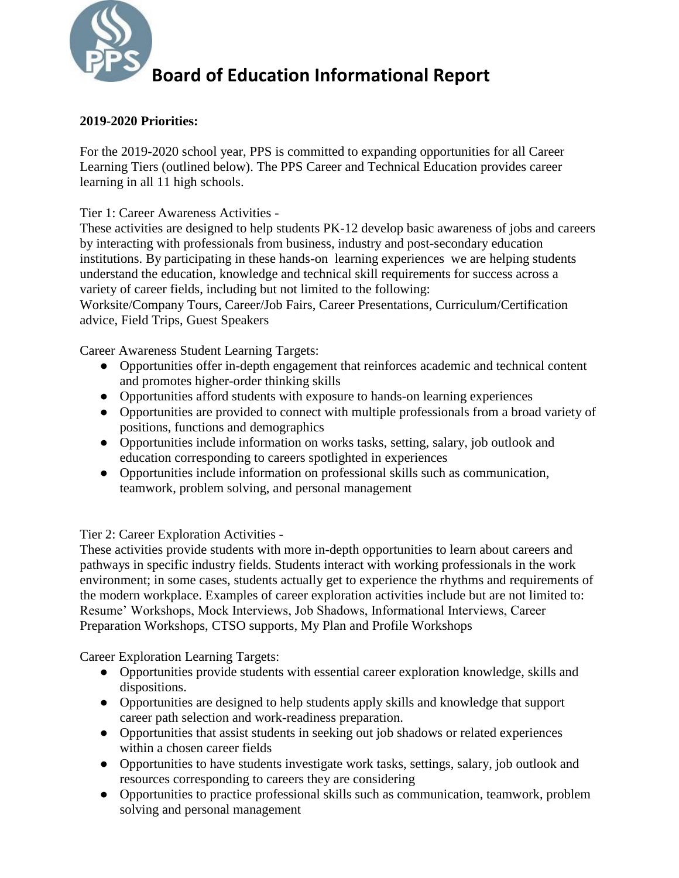

### **2019-2020 Priorities:**

For the 2019-2020 school year, PPS is committed to expanding opportunities for all Career Learning Tiers (outlined below). The PPS Career and Technical Education provides career learning in all 11 high schools.

Tier 1: Career Awareness Activities -

These activities are designed to help students PK-12 develop basic awareness of jobs and careers by interacting with professionals from business, industry and post-secondary education institutions. By participating in these hands-on learning experiences we are helping students understand the education, knowledge and technical skill requirements for success across a variety of career fields, including but not limited to the following:

Worksite/Company Tours, Career/Job Fairs, Career Presentations, Curriculum/Certification advice, Field Trips, Guest Speakers

Career Awareness Student Learning Targets:

- Opportunities offer in-depth engagement that reinforces academic and technical content and promotes higher-order thinking skills
- Opportunities afford students with exposure to hands-on learning experiences
- Opportunities are provided to connect with multiple professionals from a broad variety of positions, functions and demographics
- Opportunities include information on works tasks, setting, salary, job outlook and education corresponding to careers spotlighted in experiences
- Opportunities include information on professional skills such as communication, teamwork, problem solving, and personal management

Tier 2: Career Exploration Activities -

These activities provide students with more in-depth opportunities to learn about careers and pathways in specific industry fields. Students interact with working professionals in the work environment; in some cases, students actually get to experience the rhythms and requirements of the modern workplace. Examples of career exploration activities include but are not limited to: Resume' Workshops, Mock Interviews, Job Shadows, Informational Interviews, Career Preparation Workshops, CTSO supports, My Plan and Profile Workshops

Career Exploration Learning Targets:

- Opportunities provide students with essential career exploration knowledge, skills and dispositions.
- Opportunities are designed to help students apply skills and knowledge that support career path selection and work-readiness preparation.
- Opportunities that assist students in seeking out job shadows or related experiences within a chosen career fields
- Opportunities to have students investigate work tasks, settings, salary, job outlook and resources corresponding to careers they are considering
- Opportunities to practice professional skills such as communication, teamwork, problem solving and personal management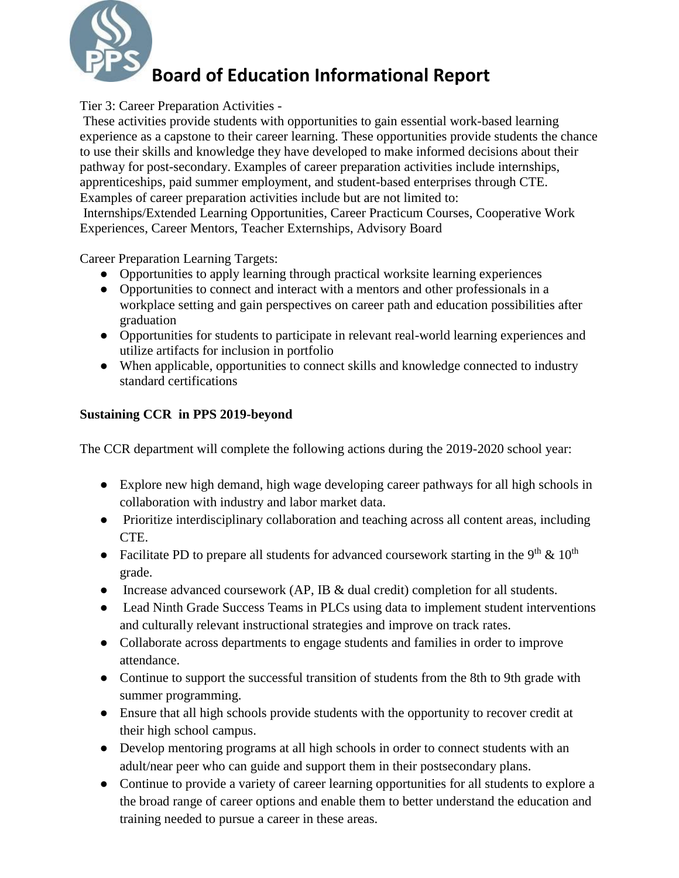

Tier 3: Career Preparation Activities -

These activities provide students with opportunities to gain essential work-based learning experience as a capstone to their career learning. These opportunities provide students the chance to use their skills and knowledge they have developed to make informed decisions about their pathway for post-secondary. Examples of career preparation activities include internships, apprenticeships, paid summer employment, and student-based enterprises through CTE. Examples of career preparation activities include but are not limited to: Internships/Extended Learning Opportunities, Career Practicum Courses, Cooperative Work Experiences, Career Mentors, Teacher Externships, Advisory Board

Career Preparation Learning Targets:

- Opportunities to apply learning through practical worksite learning experiences
- Opportunities to connect and interact with a mentors and other professionals in a workplace setting and gain perspectives on career path and education possibilities after graduation
- Opportunities for students to participate in relevant real-world learning experiences and utilize artifacts for inclusion in portfolio
- When applicable, opportunities to connect skills and knowledge connected to industry standard certifications

### **Sustaining CCR in PPS 2019-beyond**

The CCR department will complete the following actions during the 2019-2020 school year:

- Explore new high demand, high wage developing career pathways for all high schools in collaboration with industry and labor market data.
- Prioritize interdisciplinary collaboration and teaching across all content areas, including CTE.
- Facilitate PD to prepare all students for advanced coursework starting in the 9<sup>th</sup> & 10<sup>th</sup> grade.
- Increase advanced coursework (AP, IB & dual credit) completion for all students.
- Lead Ninth Grade Success Teams in PLCs using data to implement student interventions and culturally relevant instructional strategies and improve on track rates.
- Collaborate across departments to engage students and families in order to improve attendance.
- Continue to support the successful transition of students from the 8th to 9th grade with summer programming.
- Ensure that all high schools provide students with the opportunity to recover credit at their high school campus.
- Develop mentoring programs at all high schools in order to connect students with an adult/near peer who can guide and support them in their postsecondary plans.
- Continue to provide a variety of career learning opportunities for all students to explore a the broad range of career options and enable them to better understand the education and training needed to pursue a career in these areas.